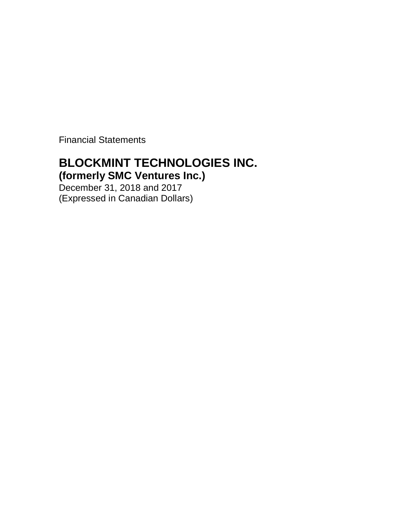Financial Statements

# **BLOCKMINT TECHNOLOGIES INC.**

**(formerly SMC Ventures Inc.)**

December 31, 2018 and 2017 (Expressed in Canadian Dollars)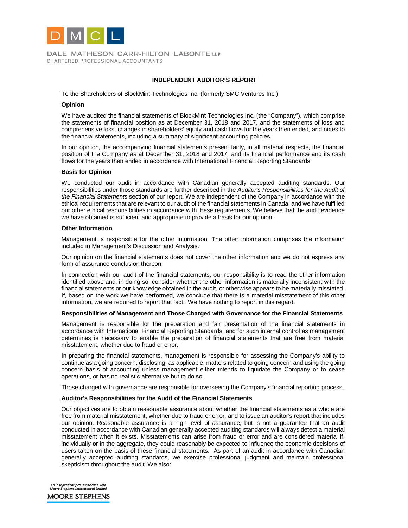

DALE MATHESON CARR-HILTON LABONTE LLP CHARTERED PROFESSIONAL ACCOUNTANTS

#### **INDEPENDENT AUDITOR'S REPORT**

To the Shareholders of BlockMint Technologies Inc. (formerly SMC Ventures Inc.)

#### **Opinion**

We have audited the financial statements of BlockMint Technologies Inc. (the "Company"), which comprise the statements of financial position as at December 31, 2018 and 2017, and the statements of loss and comprehensive loss, changes in shareholders' equity and cash flows for the years then ended, and notes to the financial statements, including a summary of significant accounting policies.

In our opinion, the accompanying financial statements present fairly, in all material respects, the financial position of the Company as at December 31, 2018 and 2017, and its financial performance and its cash flows for the years then ended in accordance with International Financial Reporting Standards.

#### **Basis for Opinion**

We conducted our audit in accordance with Canadian generally accepted auditing standards. Our responsibilities under those standards are further described in the *Auditor's Responsibilities for the Audit of the Financial Statements* section of our report. We are independent of the Company in accordance with the ethical requirements that are relevant to our audit of the financial statements in Canada, and we have fulfilled our other ethical responsibilities in accordance with these requirements. We believe that the audit evidence we have obtained is sufficient and appropriate to provide a basis for our opinion.

#### **Other Information**

Management is responsible for the other information. The other information comprises the information included in Management's Discussion and Analysis.

Our opinion on the financial statements does not cover the other information and we do not express any form of assurance conclusion thereon.

In connection with our audit of the financial statements, our responsibility is to read the other information identified above and, in doing so, consider whether the other information is materially inconsistent with the financial statements or our knowledge obtained in the audit, or otherwise appears to be materially misstated. If, based on the work we have performed, we conclude that there is a material misstatement of this other information, we are required to report that fact. We have nothing to report in this regard.

#### **Responsibilities of Management and Those Charged with Governance for the Financial Statements**

Management is responsible for the preparation and fair presentation of the financial statements in accordance with International Financial Reporting Standards, and for such internal control as management determines is necessary to enable the preparation of financial statements that are free from material misstatement, whether due to fraud or error.

In preparing the financial statements, management is responsible for assessing the Company's ability to continue as a going concern, disclosing, as applicable, matters related to going concern and using the going concern basis of accounting unless management either intends to liquidate the Company or to cease operations, or has no realistic alternative but to do so.

Those charged with governance are responsible for overseeing the Company's financial reporting process.

#### **Auditor's Responsibilities for the Audit of the Financial Statements**

Our objectives are to obtain reasonable assurance about whether the financial statements as a whole are free from material misstatement, whether due to fraud or error, and to issue an auditor's report that includes our opinion. Reasonable assurance is a high level of assurance, but is not a guarantee that an audit conducted in accordance with Canadian generally accepted auditing standards will always detect a material misstatement when it exists. Misstatements can arise from fraud or error and are considered material if, individually or in the aggregate, they could reasonably be expected to influence the economic decisions of users taken on the basis of these financial statements. As part of an audit in accordance with Canadian generally accepted auditing standards, we exercise professional judgment and maintain professional skepticism throughout the audit. We also:

An independent firm associated with<br>Moore Stephens International Limited

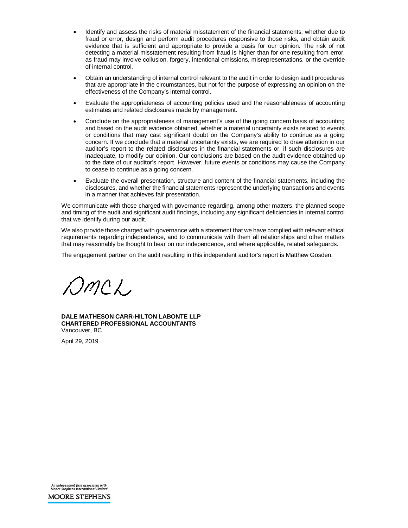- Identify and assess the risks of material misstatement of the financial statements, whether due to fraud or error, design and perform audit procedures responsive to those risks, and obtain audit evidence that is sufficient and appropriate to provide a basis for our opinion. The risk of not detecting a material misstatement resulting from fraud is higher than for one resulting from error, as fraud may involve collusion, forgery, intentional omissions, misrepresentations, or the override of internal control.
- Obtain an understanding of internal control relevant to the audit in order to design audit procedures that are appropriate in the circumstances, but not for the purpose of expressing an opinion on the effectiveness of the Company's internal control.
- Evaluate the appropriateness of accounting policies used and the reasonableness of accounting estimates and related disclosures made by management.
- Conclude on the appropriateness of management's use of the going concern basis of accounting and based on the audit evidence obtained, whether a material uncertainty exists related to events or conditions that may cast significant doubt on the Company's ability to continue as a going concern. If we conclude that a material uncertainty exists, we are required to draw attention in our auditor's report to the related disclosures in the financial statements or, if such disclosures are inadequate, to modify our opinion. Our conclusions are based on the audit evidence obtained up to the date of our auditor's report. However, future events or conditions may cause the Company to cease to continue as a going concern.
- Evaluate the overall presentation, structure and content of the financial statements, including the disclosures, and whether the financial statements represent the underlying transactions and events in a manner that achieves fair presentation.

We communicate with those charged with governance regarding, among other matters, the planned scope and timing of the audit and significant audit findings, including any significant deficiencies in internal control that we identify during our audit.

We also provide those charged with governance with a statement that we have complied with relevant ethical requirements regarding independence, and to communicate with them all relationships and other matters that may reasonably be thought to bear on our independence, and where applicable, related safeguards.

The engagement partner on the audit resulting in this independent auditor's report is Matthew Gosden.

OmcL

**DALE MATHESON CARR-HILTON LABONTE LLP CHARTERED PROFESSIONAL ACCOUNTANTS** Vancouver, BC

April 29, 2019

An independent firm associated with<br>Moore Stephens International Limited **MOORE STEPHENS**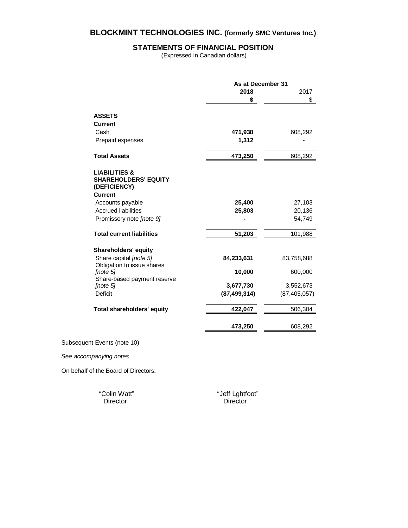# **STATEMENTS OF FINANCIAL POSITION**

(Expressed in Canadian dollars)

|                                                                         | As at December 31 |                |
|-------------------------------------------------------------------------|-------------------|----------------|
|                                                                         | 2018              | 2017           |
|                                                                         | \$                | \$             |
| <b>ASSETS</b>                                                           |                   |                |
| <b>Current</b>                                                          |                   |                |
| Cash                                                                    | 471,938           | 608,292        |
| Prepaid expenses                                                        | 1,312             |                |
| <b>Total Assets</b>                                                     | 473,250           | 608,292        |
| <b>LIABILITIES &amp;</b><br><b>SHAREHOLDERS' EQUITY</b><br>(DEFICIENCY) |                   |                |
| <b>Current</b>                                                          |                   |                |
| Accounts payable                                                        | 25,400            | 27,103         |
| <b>Accrued liabilities</b>                                              | 25,803            | 20,136         |
| Promissory note [note 9]                                                |                   | 54,749         |
| <b>Total current liabilities</b>                                        | 51,203            | 101,988        |
| Shareholders' equity                                                    |                   |                |
| Share capital [note 5]<br>Obligation to issue shares                    | 84,233,631        | 83,758,688     |
| [note 5]<br>Share-based payment reserve                                 | 10,000            | 600,000        |
| [note 5]                                                                | 3,677,730         | 3,552,673      |
| Deficit                                                                 | (87, 499, 314)    | (87, 405, 057) |
| <b>Total shareholders' equity</b>                                       | 422,047           | 506,304        |
|                                                                         | 473,250           | 608,292        |
| Subsequent Events (note 10)                                             |                   |                |
| See accompanying notes                                                  |                   |                |

On behalf of the Board of Directors:

"Colin Watt" "Jeff Lghtfoot" Director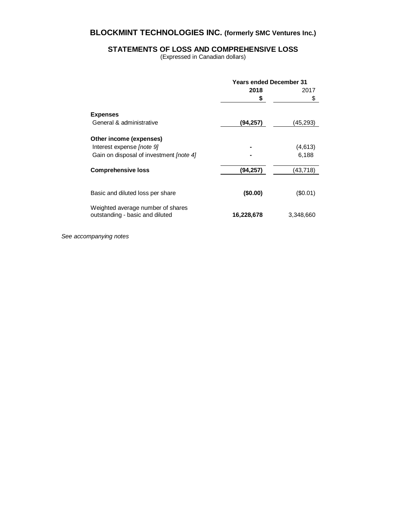# **STATEMENTS OF LOSS AND COMPREHENSIVE LOSS**

(Expressed in Canadian dollars)

|                                                                      | <b>Years ended December 31</b> |           |
|----------------------------------------------------------------------|--------------------------------|-----------|
|                                                                      | 2018                           | 2017      |
|                                                                      | \$                             | \$        |
| <b>Expenses</b>                                                      |                                |           |
| General & administrative                                             | (94, 257)                      | (45,293)  |
| Other income (expenses)                                              |                                |           |
| Interest expense <i>[note 9]</i>                                     |                                | (4,613)   |
| Gain on disposal of investment [note 4]                              |                                | 6,188     |
| <b>Comprehensive loss</b>                                            | (94, 257)                      | (43,718)  |
| Basic and diluted loss per share                                     | (\$0.00)                       | (S0.01)   |
| Weighted average number of shares<br>outstanding - basic and diluted | 16,228,678                     | 3,348,660 |

*See accompanying notes*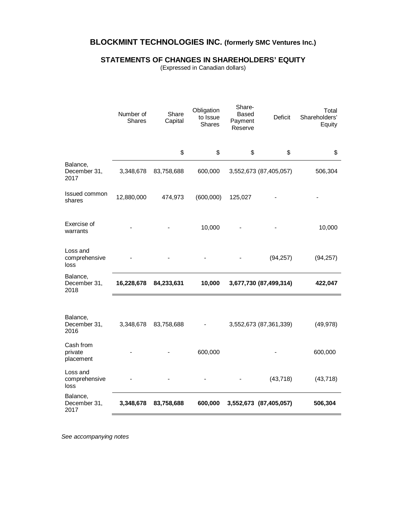# **STATEMENTS OF CHANGES IN SHAREHOLDERS' EQUITY**

(Expressed in Canadian dollars)

|                                   | Number of<br>Shares | Share<br>Capital | Obligation<br>to Issue<br>Shares | Share-<br><b>Based</b><br>Payment<br>Reserve | <b>Deficit</b>         | Total<br>Shareholders'<br>Equity |
|-----------------------------------|---------------------|------------------|----------------------------------|----------------------------------------------|------------------------|----------------------------------|
|                                   |                     | \$               | \$                               | \$                                           | \$                     | \$                               |
| Balance,<br>December 31,<br>2017  | 3,348,678           | 83,758,688       | 600,000                          |                                              | 3,552,673 (87,405,057) | 506,304                          |
| Issued common<br>shares           | 12,880,000          | 474,973          | (600,000)                        | 125,027                                      |                        |                                  |
| Exercise of<br>warrants           |                     |                  | 10,000                           |                                              |                        | 10,000                           |
| Loss and<br>comprehensive<br>loss |                     |                  |                                  |                                              | (94, 257)              | (94, 257)                        |
| Balance,<br>December 31,<br>2018  | 16,228,678          | 84,233,631       | 10,000                           |                                              | 3,677,730 (87,499,314) | 422,047                          |
|                                   |                     |                  |                                  |                                              |                        |                                  |
| Balance,<br>December 31,<br>2016  | 3,348,678           | 83,758,688       |                                  |                                              | 3,552,673 (87,361,339) | (49, 978)                        |
| Cash from<br>private<br>placement |                     |                  | 600,000                          |                                              |                        | 600,000                          |
| Loss and<br>comprehensive<br>loss |                     |                  |                                  |                                              | (43, 718)              | (43, 718)                        |
| Balance,<br>December 31,<br>2017  | 3,348,678           | 83,758,688       | 600,000                          |                                              | 3,552,673 (87,405,057) | 506,304                          |

*See accompanying notes*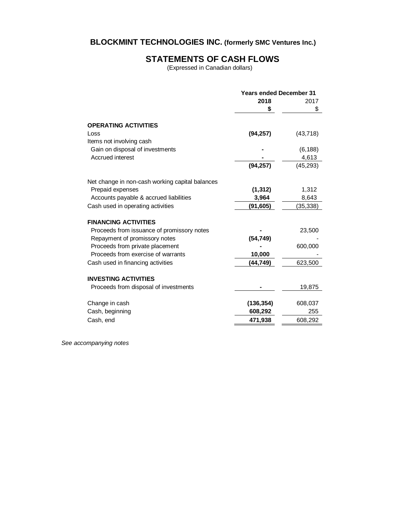# **STATEMENTS OF CASH FLOWS**

(Expressed in Canadian dollars)

|                                                 | <b>Years ended December 31</b> |           |
|-------------------------------------------------|--------------------------------|-----------|
|                                                 | 2018                           | 2017      |
|                                                 | \$                             | \$        |
| <b>OPERATING ACTIVITIES</b>                     |                                |           |
| Loss                                            | (94, 257)                      | (43, 718) |
| Items not involving cash                        |                                |           |
| Gain on disposal of investments                 |                                | (6, 188)  |
| Accrued interest                                |                                | 4,613     |
|                                                 | (94, 257)                      | (45, 293) |
| Net change in non-cash working capital balances |                                |           |
| Prepaid expenses                                | (1, 312)                       | 1,312     |
| Accounts payable & accrued liabilities          | 3,964                          | 8,643     |
| Cash used in operating activities               | (91, 605)                      | (35,338)  |
| <b>FINANCING ACTIVITIES</b>                     |                                |           |
| Proceeds from issuance of promissory notes      |                                | 23,500    |
| Repayment of promissory notes                   | (54, 749)                      |           |
| Proceeds from private placement                 |                                | 600,000   |
| Proceeds from exercise of warrants              | 10,000                         |           |
| Cash used in financing activities               | (44,749)                       | 623,500   |
|                                                 |                                |           |
| <b>INVESTING ACTIVITIES</b>                     |                                |           |
| Proceeds from disposal of investments           |                                | 19,875    |
| Change in cash                                  | (136, 354)                     | 608,037   |
| Cash, beginning                                 | 608,292                        | 255       |
| Cash, end                                       | 471,938                        | 608,292   |

*See accompanying notes*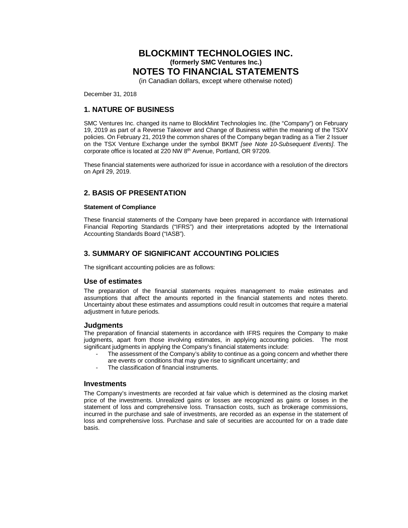(in Canadian dollars, except where otherwise noted)

December 31, 2018

# **1. NATURE OF BUSINESS**

SMC Ventures Inc. changed its name to BlockMint Technologies Inc. (the "Company") on February 19, 2019 as part of a Reverse Takeover and Change of Business within the meaning of the TSXV policies. On February 21, 2019 the common shares of the Company began trading as a Tier 2 Issuer on the TSX Venture Exchange under the symbol BKMT *[see Note 10-Subsequent Events]*. The corporate office is located at 220 NW 8<sup>th</sup> Avenue, Portland, OR 97209.

These financial statements were authorized for issue in accordance with a resolution of the directors on April 29, 2019.

# **2. BASIS OF PRESENTATION**

#### **Statement of Compliance**

These financial statements of the Company have been prepared in accordance with International Financial Reporting Standards ("IFRS") and their interpretations adopted by the International Accounting Standards Board ("IASB").

# **3. SUMMARY OF SIGNIFICANT ACCOUNTING POLICIES**

The significant accounting policies are as follows:

### **Use of estimates**

The preparation of the financial statements requires management to make estimates and assumptions that affect the amounts reported in the financial statements and notes thereto. Uncertainty about these estimates and assumptions could result in outcomes that require a material adjustment in future periods.

#### **Judgments**

The preparation of financial statements in accordance with IFRS requires the Company to make judgments, apart from those involving estimates, in applying accounting policies. The most significant judgments in applying the Company's financial statements include:

- The assessment of the Company's ability to continue as a going concern and whether there are events or conditions that may give rise to significant uncertainty; and
- The classification of financial instruments.

### **Investments**

The Company's investments are recorded at fair value which is determined as the closing market price of the investments. Unrealized gains or losses are recognized as gains or losses in the statement of loss and comprehensive loss. Transaction costs, such as brokerage commissions, incurred in the purchase and sale of investments, are recorded as an expense in the statement of loss and comprehensive loss. Purchase and sale of securities are accounted for on a trade date basis.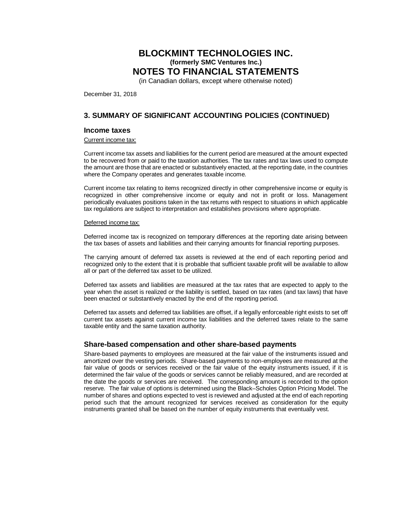(in Canadian dollars, except where otherwise noted)

December 31, 2018

# **3. SUMMARY OF SIGNIFICANT ACCOUNTING POLICIES (CONTINUED)**

#### **Income taxes**

Current income tax:

Current income tax assets and liabilities for the current period are measured at the amount expected to be recovered from or paid to the taxation authorities. The tax rates and tax laws used to compute the amount are those that are enacted or substantively enacted, at the reporting date, in the countries where the Company operates and generates taxable income.

Current income tax relating to items recognized directly in other comprehensive income or equity is recognized in other comprehensive income or equity and not in profit or loss. Management periodically evaluates positions taken in the tax returns with respect to situations in which applicable tax regulations are subject to interpretation and establishes provisions where appropriate.

#### Deferred income tax:

Deferred income tax is recognized on temporary differences at the reporting date arising between the tax bases of assets and liabilities and their carrying amounts for financial reporting purposes.

The carrying amount of deferred tax assets is reviewed at the end of each reporting period and recognized only to the extent that it is probable that sufficient taxable profit will be available to allow all or part of the deferred tax asset to be utilized.

Deferred tax assets and liabilities are measured at the tax rates that are expected to apply to the year when the asset is realized or the liability is settled, based on tax rates (and tax laws) that have been enacted or substantively enacted by the end of the reporting period.

Deferred tax assets and deferred tax liabilities are offset, if a legally enforceable right exists to set off current tax assets against current income tax liabilities and the deferred taxes relate to the same taxable entity and the same taxation authority.

#### **Share-based compensation and other share-based payments**

Share-based payments to employees are measured at the fair value of the instruments issued and amortized over the vesting periods. Share-based payments to non-employees are measured at the fair value of goods or services received or the fair value of the equity instruments issued, if it is determined the fair value of the goods or services cannot be reliably measured, and are recorded at the date the goods or services are received. The corresponding amount is recorded to the option reserve. The fair value of options is determined using the Black–Scholes Option Pricing Model. The number of shares and options expected to vest is reviewed and adjusted at the end of each reporting period such that the amount recognized for services received as consideration for the equity instruments granted shall be based on the number of equity instruments that eventually vest.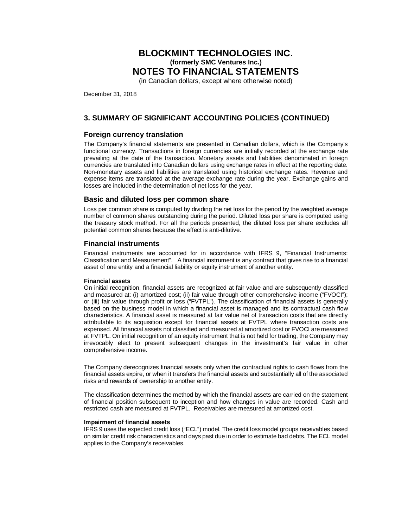(in Canadian dollars, except where otherwise noted)

December 31, 2018

# **3. SUMMARY OF SIGNIFICANT ACCOUNTING POLICIES (CONTINUED)**

### **Foreign currency translation**

The Company's financial statements are presented in Canadian dollars, which is the Company's functional currency. Transactions in foreign currencies are initially recorded at the exchange rate prevailing at the date of the transaction. Monetary assets and liabilities denominated in foreign currencies are translated into Canadian dollars using exchange rates in effect at the reporting date. Non-monetary assets and liabilities are translated using historical exchange rates. Revenue and expense items are translated at the average exchange rate during the year. Exchange gains and losses are included in the determination of net loss for the year.

### **Basic and diluted loss per common share**

Loss per common share is computed by dividing the net loss for the period by the weighted average number of common shares outstanding during the period. Diluted loss per share is computed using the treasury stock method. For all the periods presented, the diluted loss per share excludes all potential common shares because the effect is anti-dilutive.

### **Financial instruments**

Financial instruments are accounted for in accordance with IFRS 9, "Financial Instruments: Classification and Measurement". A financial instrument is any contract that gives rise to a financial asset of one entity and a financial liability or equity instrument of another entity.

#### **Financial assets**

On initial recognition, financial assets are recognized at fair value and are subsequently classified and measured at: (i) amortized cost; (ii) fair value through other comprehensive income ("FVOCI"); or (iii) fair value through profit or loss ("FVTPL"). The classification of financial assets is generally based on the business model in which a financial asset is managed and its contractual cash flow characteristics. A financial asset is measured at fair value net of transaction costs that are directly attributable to its acquisition except for financial assets at FVTPL where transaction costs are expensed. All financial assets not classified and measured at amortized cost or FVOCI are measured at FVTPL. On initial recognition of an equity instrument that is not held for trading, the Company may irrevocably elect to present subsequent changes in the investment's fair value in other comprehensive income.

The Company derecognizes financial assets only when the contractual rights to cash flows from the financial assets expire, or when it transfers the financial assets and substantially all of the associated risks and rewards of ownership to another entity.

The classification determines the method by which the financial assets are carried on the statement of financial position subsequent to inception and how changes in value are recorded. Cash and restricted cash are measured at FVTPL. Receivables are measured at amortized cost.

#### **Impairment of financial assets**

IFRS 9 uses the expected credit loss ("ECL") model. The credit loss model groups receivables based on similar credit risk characteristics and days past due in order to estimate bad debts. The ECL model applies to the Company's receivables.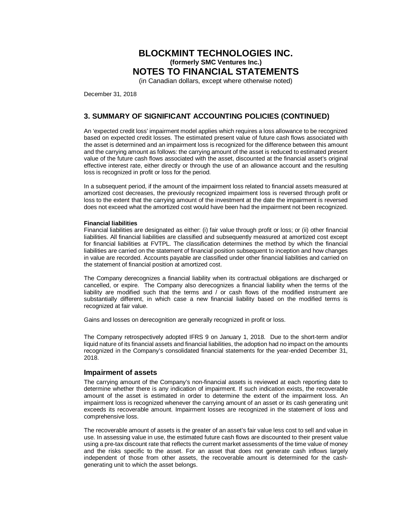(in Canadian dollars, except where otherwise noted)

December 31, 2018

# **3. SUMMARY OF SIGNIFICANT ACCOUNTING POLICIES (CONTINUED)**

An 'expected credit loss' impairment model applies which requires a loss allowance to be recognized based on expected credit losses. The estimated present value of future cash flows associated with the asset is determined and an impairment loss is recognized for the difference between this amount and the carrying amount as follows: the carrying amount of the asset is reduced to estimated present value of the future cash flows associated with the asset, discounted at the financial asset's original effective interest rate, either directly or through the use of an allowance account and the resulting loss is recognized in profit or loss for the period.

In a subsequent period, if the amount of the impairment loss related to financial assets measured at amortized cost decreases, the previously recognized impairment loss is reversed through profit or loss to the extent that the carrying amount of the investment at the date the impairment is reversed does not exceed what the amortized cost would have been had the impairment not been recognized.

#### **Financial liabilities**

Financial liabilities are designated as either: (i) fair value through profit or loss; or (ii) other financial liabilities. All financial liabilities are classified and subsequently measured at amortized cost except for financial liabilities at FVTPL. The classification determines the method by which the financial liabilities are carried on the statement of financial position subsequent to inception and how changes in value are recorded. Accounts payable are classified under other financial liabilities and carried on the statement of financial position at amortized cost.

The Company derecognizes a financial liability when its contractual obligations are discharged or cancelled, or expire. The Company also derecognizes a financial liability when the terms of the liability are modified such that the terms and / or cash flows of the modified instrument are substantially different, in which case a new financial liability based on the modified terms is recognized at fair value.

Gains and losses on derecognition are generally recognized in profit or loss.

The Company retrospectively adopted IFRS 9 on January 1, 2018. Due to the short-term and/or liquid nature of its financial assets and financial liabilities, the adoption had no impact on the amounts recognized in the Company's consolidated financial statements for the year-ended December 31, 2018.

#### **Impairment of assets**

The carrying amount of the Company's non-financial assets is reviewed at each reporting date to determine whether there is any indication of impairment. If such indication exists, the recoverable amount of the asset is estimated in order to determine the extent of the impairment loss. An impairment loss is recognized whenever the carrying amount of an asset or its cash generating unit exceeds its recoverable amount. Impairment losses are recognized in the statement of loss and comprehensive loss.

The recoverable amount of assets is the greater of an asset's fair value less cost to sell and value in use. In assessing value in use, the estimated future cash flows are discounted to their present value using a pre-tax discount rate that reflects the current market assessments of the time value of money and the risks specific to the asset. For an asset that does not generate cash inflows largely independent of those from other assets, the recoverable amount is determined for the cashgenerating unit to which the asset belongs.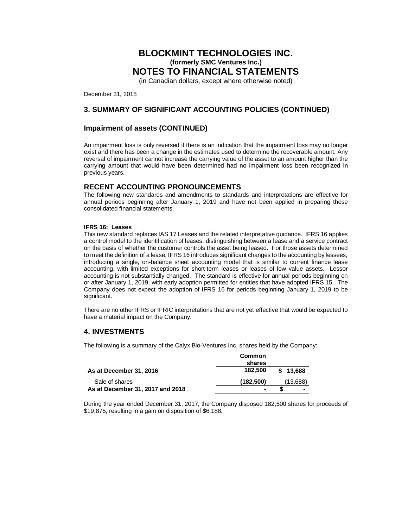(in Canadian dollars, except where otherwise noted)

December 31, 2018

# **3. SUMMARY OF SIGNIFICANT ACCOUNTING POLICIES (CONTINUED)**

### **Impairment of assets (CONTINUED)**

An impairment loss is only reversed if there is an indication that the impairment loss may no longer exist and there has been a change in the estimates used to determine the recoverable amount. Any reversal of impairment cannot increase the carrying value of the asset to an amount higher than the carrying amount that would have been determined had no impairment loss been recognized in previous years.

### **RECENT ACCOUNTING PRONOUNCEMENTS**

The following new standards and amendments to standards and interpretations are effective for annual periods beginning after January 1, 2019 and have not been applied in preparing these consolidated financial statements.

#### **IFRS 16: Leases**

This new standard replaces IAS 17 Leases and the related interpretative guidance. IFRS 16 applies a control model to the identification of leases, distinguishing between a lease and a service contract on the basis of whether the customer controls the asset being leased. For those assets determined to meet the definition of a lease, IFRS 16 introduces significant changes to the accounting by lessees, introducing a single, on-balance sheet accounting model that is similar to current finance lease accounting, with limited exceptions for short-term leases or leases of low value assets. Lessor accounting is not substantially changed. The standard is effective for annual periods beginning on or after January 1, 2019, with early adoption permitted for entities that have adopted IFRS 15. The Company does not expect the adoption of IFRS 16 for periods beginning January 1, 2019 to be significant.

There are no other IFRS or IFRIC interpretations that are not yet effective that would be expected to have a material impact on the Company.

# **4. INVESTMENTS**

The following is a summary of the Calyx Bio-Ventures Inc. shares held by the Company:

|                                  | Common<br>shares |          |
|----------------------------------|------------------|----------|
| As at December 31, 2016          | 182.500          | \$13,688 |
| Sale of shares                   | (182.500)        | (13,688) |
| As at December 31, 2017 and 2018 | -                |          |

During the year ended December 31, 2017, the Company disposed 182,500 shares for proceeds of \$19,875, resulting in a gain on disposition of \$6,188.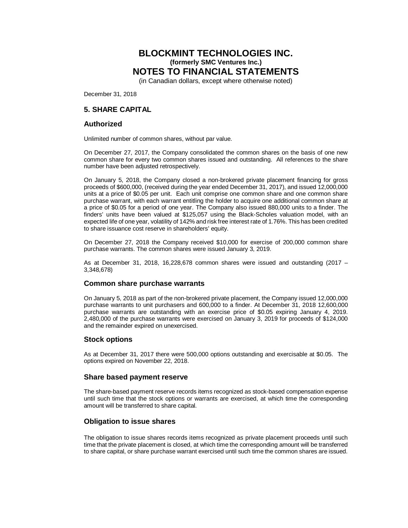(in Canadian dollars, except where otherwise noted)

December 31, 2018

### **5. SHARE CAPITAL**

#### **Authorized**

Unlimited number of common shares, without par value.

On December 27, 2017, the Company consolidated the common shares on the basis of one new common share for every two common shares issued and outstanding. All references to the share number have been adjusted retrospectively.

On January 5, 2018, the Company closed a non-brokered private placement financing for gross proceeds of \$600,000, (received during the year ended December 31, 2017), and issued 12,000,000 units at a price of \$0.05 per unit. Each unit comprise one common share and one common share purchase warrant, with each warrant entitling the holder to acquire one additional common share at a price of \$0.05 for a period of one year. The Company also issued 880,000 units to a finder. The finders' units have been valued at \$125,057 using the Black-Scholes valuation model, with an expected life of one year, volatility of 142% and risk free interest rate of 1.76%. This has been credited to share issuance cost reserve in shareholders' equity.

On December 27, 2018 the Company received \$10,000 for exercise of 200,000 common share purchase warrants. The common shares were issued January 3, 2019.

As at December 31, 2018, 16,228,678 common shares were issued and outstanding (2017 – 3,348,678)

### **Common share purchase warrants**

On January 5, 2018 as part of the non-brokered private placement, the Company issued 12,000,000 purchase warrants to unit purchasers and 600,000 to a finder. At December 31, 2018 12,600,000 purchase warrants are outstanding with an exercise price of \$0.05 expiring January 4, 2019. 2,480,000 of the purchase warrants were exercised on January 3, 2019 for proceeds of \$124,000 and the remainder expired on unexercised.

### **Stock options**

As at December 31, 2017 there were 500,000 options outstanding and exercisable at \$0.05. The options expired on November 22, 2018.

#### **Share based payment reserve**

The share-based payment reserve records items recognized as stock-based compensation expense until such time that the stock options or warrants are exercised, at which time the corresponding amount will be transferred to share capital.

### **Obligation to issue shares**

The obligation to issue shares records items recognized as private placement proceeds until such time that the private placement is closed, at which time the corresponding amount will be transferred to share capital, or share purchase warrant exercised until such time the common shares are issued.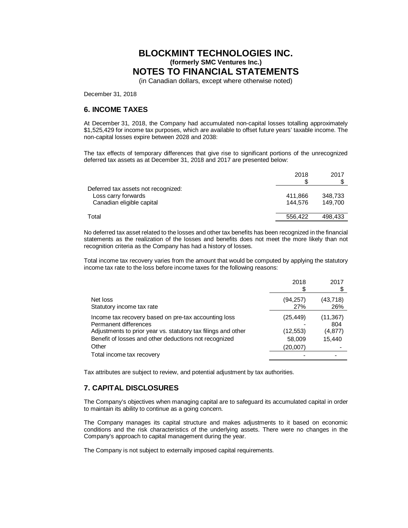(in Canadian dollars, except where otherwise noted)

December 31, 2018

# **6. INCOME TAXES**

At December 31, 2018, the Company had accumulated non-capital losses totalling approximately \$1,525,429 for income tax purposes, which are available to offset future years' taxable income. The non-capital losses expire between 2028 and 2038:

The tax effects of temporary differences that give rise to significant portions of the unrecognized deferred tax assets as at December 31, 2018 and 2017 are presented below:

|                                     | 2018    | 2017    |
|-------------------------------------|---------|---------|
| Deferred tax assets not recognized: |         |         |
| Loss carry forwards                 | 411,866 | 348,733 |
| Canadian eligible capital           | 144.576 | 149.700 |
| Total                               | 556,422 | 498.433 |
|                                     |         |         |

No deferred tax asset related to the losses and other tax benefits has been recognized in the financial statements as the realization of the losses and benefits does not meet the more likely than not recognition criteria as the Company has had a history of losses.

Total income tax recovery varies from the amount that would be computed by applying the statutory income tax rate to the loss before income taxes for the following reasons:

|                                                                                                                                                                                                                  | 2018                                       | 2017                                  |
|------------------------------------------------------------------------------------------------------------------------------------------------------------------------------------------------------------------|--------------------------------------------|---------------------------------------|
| Net loss<br>Statutory income tax rate                                                                                                                                                                            | (94,257)<br>27%                            | (43,718)<br>26%                       |
| Income tax recovery based on pre-tax accounting loss<br>Permanent differences<br>Adjustments to prior year vs. statutory tax filings and other<br>Benefit of losses and other deductions not recognized<br>Other | (25,449)<br>(12,553)<br>58,009<br>(20,007) | (11,367)<br>804<br>(4, 877)<br>15,440 |
| Total income tax recovery                                                                                                                                                                                        |                                            |                                       |

Tax attributes are subject to review, and potential adjustment by tax authorities.

# **7. CAPITAL DISCLOSURES**

The Company's objectives when managing capital are to safeguard its accumulated capital in order to maintain its ability to continue as a going concern.

The Company manages its capital structure and makes adjustments to it based on economic conditions and the risk characteristics of the underlying assets. There were no changes in the Company's approach to capital management during the year.

The Company is not subject to externally imposed capital requirements.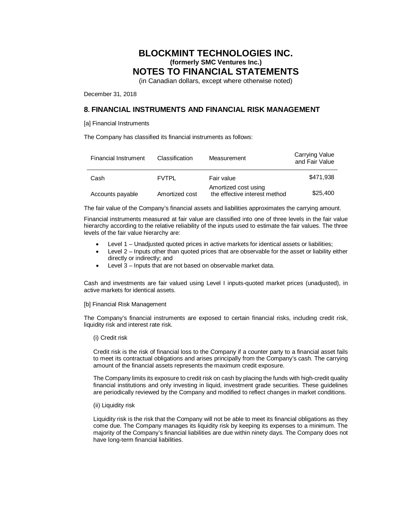(in Canadian dollars, except where otherwise noted)

December 31, 2018

# **8. FINANCIAL INSTRUMENTS AND FINANCIAL RISK MANAGEMENT**

[a] Financial Instruments

The Company has classified its financial instruments as follows:

| Financial Instrument | Classification | Measurement                                           | <b>Carrying Value</b><br>and Fair Value |
|----------------------|----------------|-------------------------------------------------------|-----------------------------------------|
| Cash                 | <b>FVTPL</b>   | Fair value                                            | \$471.938                               |
| Accounts payable     | Amortized cost | Amortized cost using<br>the effective interest method | \$25,400                                |

The fair value of the Company's financial assets and liabilities approximates the carrying amount.

Financial instruments measured at fair value are classified into one of three levels in the fair value hierarchy according to the relative reliability of the inputs used to estimate the fair values. The three levels of the fair value hierarchy are:

- Level 1 Unadjusted quoted prices in active markets for identical assets or liabilities;
- Level  $2$  Inputs other than quoted prices that are observable for the asset or liability either directly or indirectly; and
- Level 3 Inputs that are not based on observable market data.

Cash and investments are fair valued using Level I inputs-quoted market prices (unadjusted), in active markets for identical assets.

#### [b] Financial Risk Management

The Company's financial instruments are exposed to certain financial risks, including credit risk, liquidity risk and interest rate risk.

#### (i) Credit risk

Credit risk is the risk of financial loss to the Company if a counter party to a financial asset fails to meet its contractual obligations and arises principally from the Company's cash. The carrying amount of the financial assets represents the maximum credit exposure.

The Company limits its exposure to credit risk on cash by placing the funds with high-credit quality financial institutions and only investing in liquid, investment grade securities. These guidelines are periodically reviewed by the Company and modified to reflect changes in market conditions.

#### (ii) Liquidity risk

Liquidity risk is the risk that the Company will not be able to meet its financial obligations as they come due. The Company manages its liquidity risk by keeping its expenses to a minimum. The majority of the Company's financial liabilities are due within ninety days. The Company does not have long-term financial liabilities.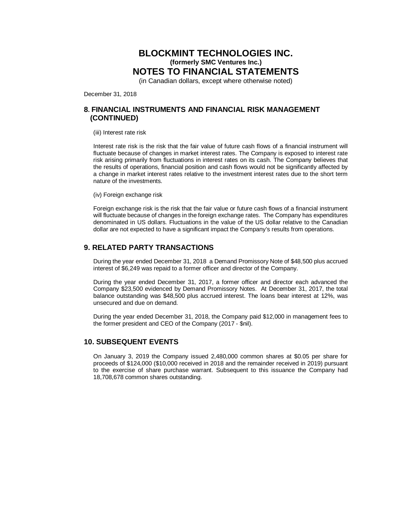(in Canadian dollars, except where otherwise noted)

December 31, 2018

### **8. FINANCIAL INSTRUMENTS AND FINANCIAL RISK MANAGEMENT (CONTINUED)**

#### (iii) Interest rate risk

Interest rate risk is the risk that the fair value of future cash flows of a financial instrument will fluctuate because of changes in market interest rates. The Company is exposed to interest rate risk arising primarily from fluctuations in interest rates on its cash. The Company believes that the results of operations, financial position and cash flows would not be significantly affected by a change in market interest rates relative to the investment interest rates due to the short term nature of the investments.

(iv) Foreign exchange risk

Foreign exchange risk is the risk that the fair value or future cash flows of a financial instrument will fluctuate because of changes in the foreign exchange rates. The Company has expenditures denominated in US dollars. Fluctuations in the value of the US dollar relative to the Canadian dollar are not expected to have a significant impact the Company's results from operations.

# **9. RELATED PARTY TRANSACTIONS**

During the year ended December 31, 2018 a Demand Promissory Note of \$48,500 plus accrued interest of \$6,249 was repaid to a former officer and director of the Company.

During the year ended December 31, 2017, a former officer and director each advanced the Company \$23,500 evidenced by Demand Promissory Notes. At December 31, 2017, the total balance outstanding was \$48,500 plus accrued interest. The loans bear interest at 12%, was unsecured and due on demand.

During the year ended December 31, 2018, the Company paid \$12,000 in management fees to the former president and CEO of the Company (2017 - \$nil).

# **10. SUBSEQUENT EVENTS**

On January 3, 2019 the Company issued 2,480,000 common shares at \$0.05 per share for proceeds of \$124,000 (\$10,000 received in 2018 and the remainder received in 2019) pursuant to the exercise of share purchase warrant. Subsequent to this issuance the Company had 18,708,678 common shares outstanding.